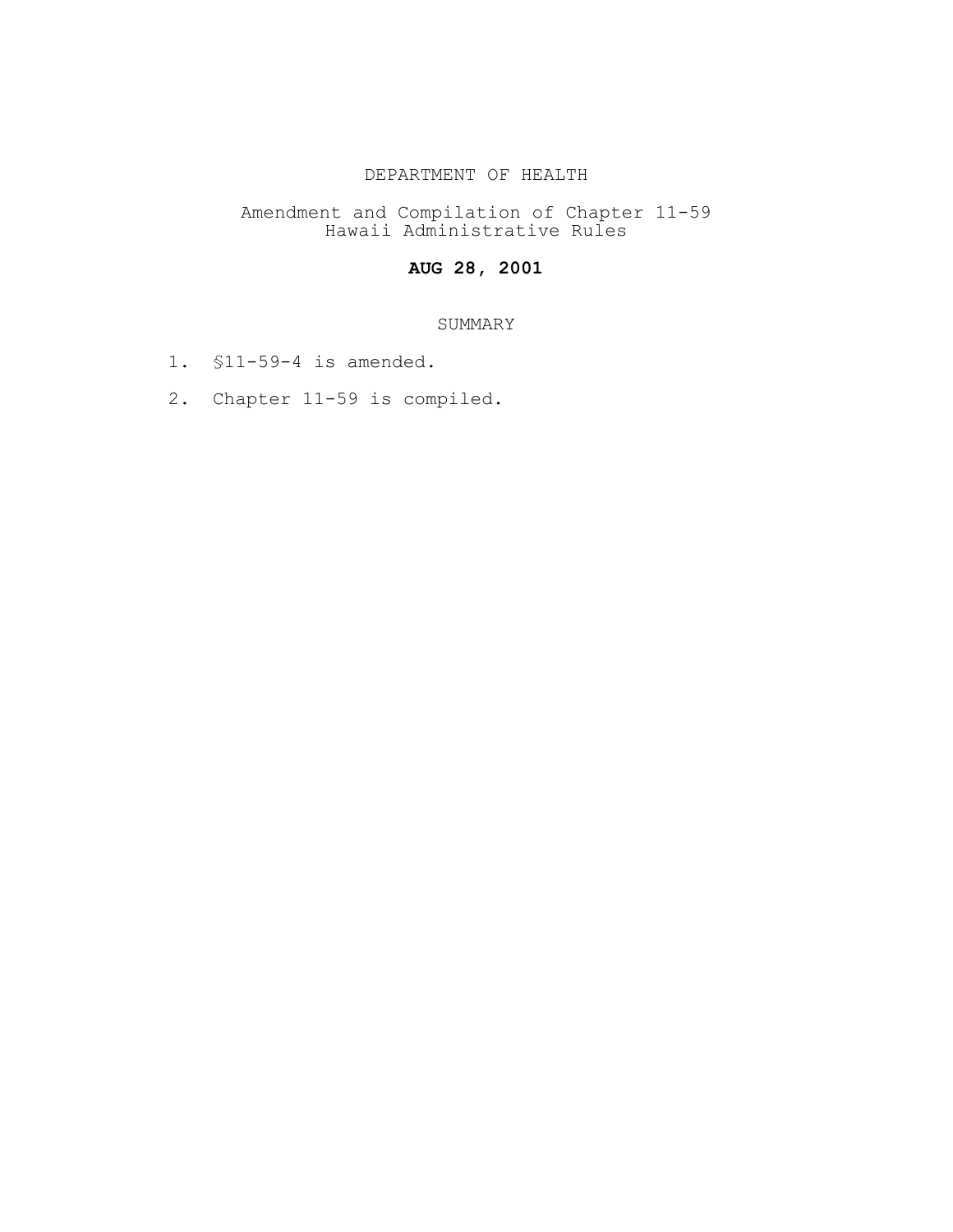## DEPARTMENT OF HEALTH

Amendment and Compilation of Chapter 11-59 Hawaii Administrative Rules

# **AUG 28, 2001**

## SUMMARY

- 1. §11-59-4 is amended.
- 2. Chapter 11-59 is compiled.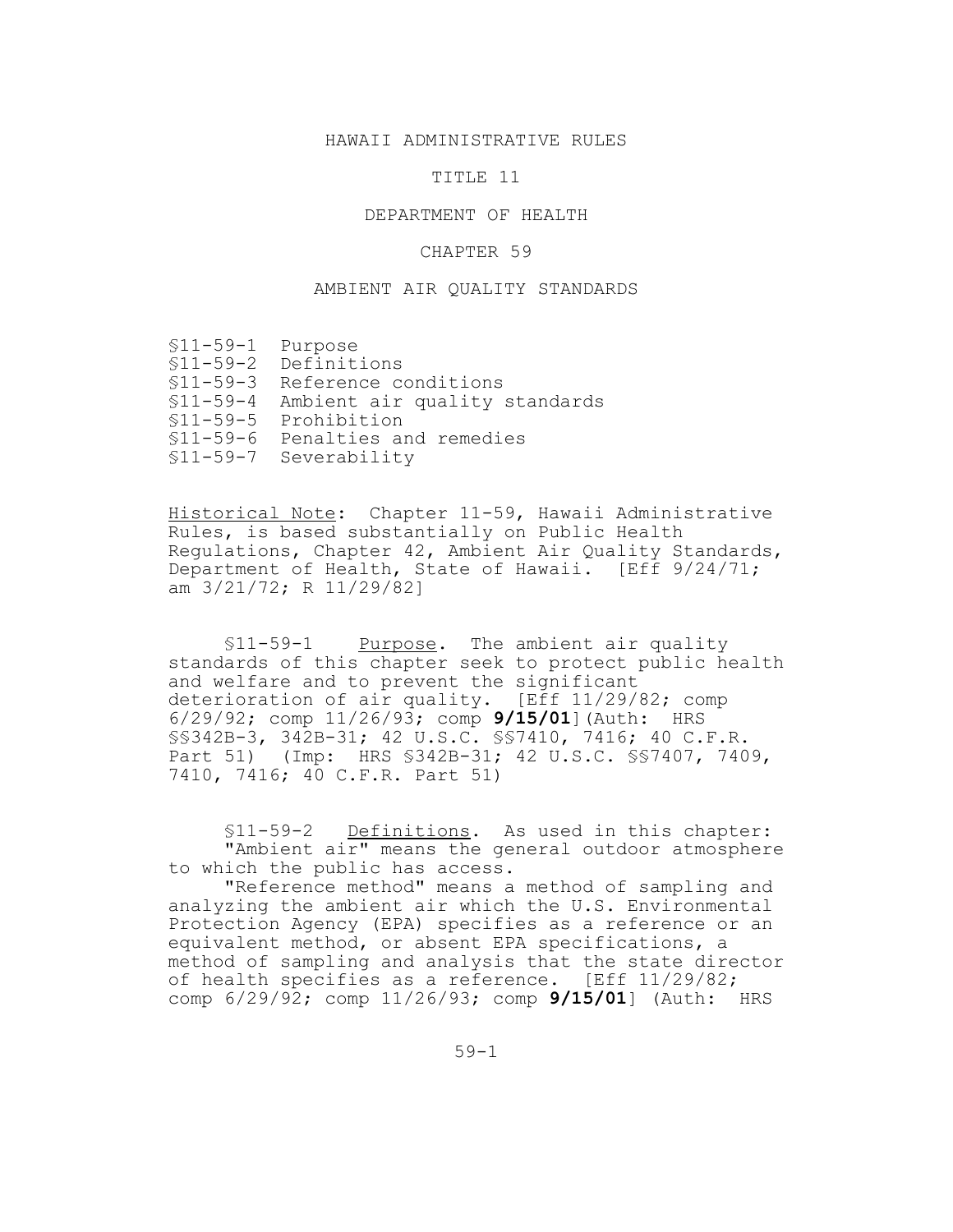#### HAWAII ADMINISTRATIVE RULES

#### TITLE 11

### DEPARTMENT OF HEALTH

#### CHAPTER 59

#### AMBIENT AIR QUALITY STANDARDS

- §11-59-2 Definitions
- §11-59-3 Reference conditions
- §11-59-4 Ambient air quality standards
- §11-59-5 Prohibition
- §11-59-6 Penalties and remedies
- §11-59-7 Severability

Historical Note: Chapter 11-59, Hawaii Administrative Rules, is based substantially on Public Health Regulations, Chapter 42, Ambient Air Quality Standards, Department of Health, State of Hawaii. [Eff 9/24/71; am 3/21/72; R 11/29/82]

§11-59-1 Purpose. The ambient air quality standards of this chapter seek to protect public health and welfare and to prevent the significant deterioration of air quality. [Eff 11/29/82; comp 6/29/92; comp 11/26/93; comp **9/15/01**](Auth: HRS §§342B-3, 342B-31; 42 U.S.C. §§7410, 7416; 40 C.F.R. Part 51) (Imp: HRS §342B-31; 42 U.S.C. §§7407, 7409, 7410, 7416; 40 C.F.R. Part 51)

§11-59-2 Definitions. As used in this chapter: "Ambient air" means the general outdoor atmosphere to which the public has access.

"Reference method" means a method of sampling and analyzing the ambient air which the U.S. Environmental Protection Agency (EPA) specifies as a reference or an equivalent method, or absent EPA specifications, a method of sampling and analysis that the state director of health specifies as a reference. [Eff 11/29/82; comp 6/29/92; comp 11/26/93; comp **9/15/01**] (Auth: HRS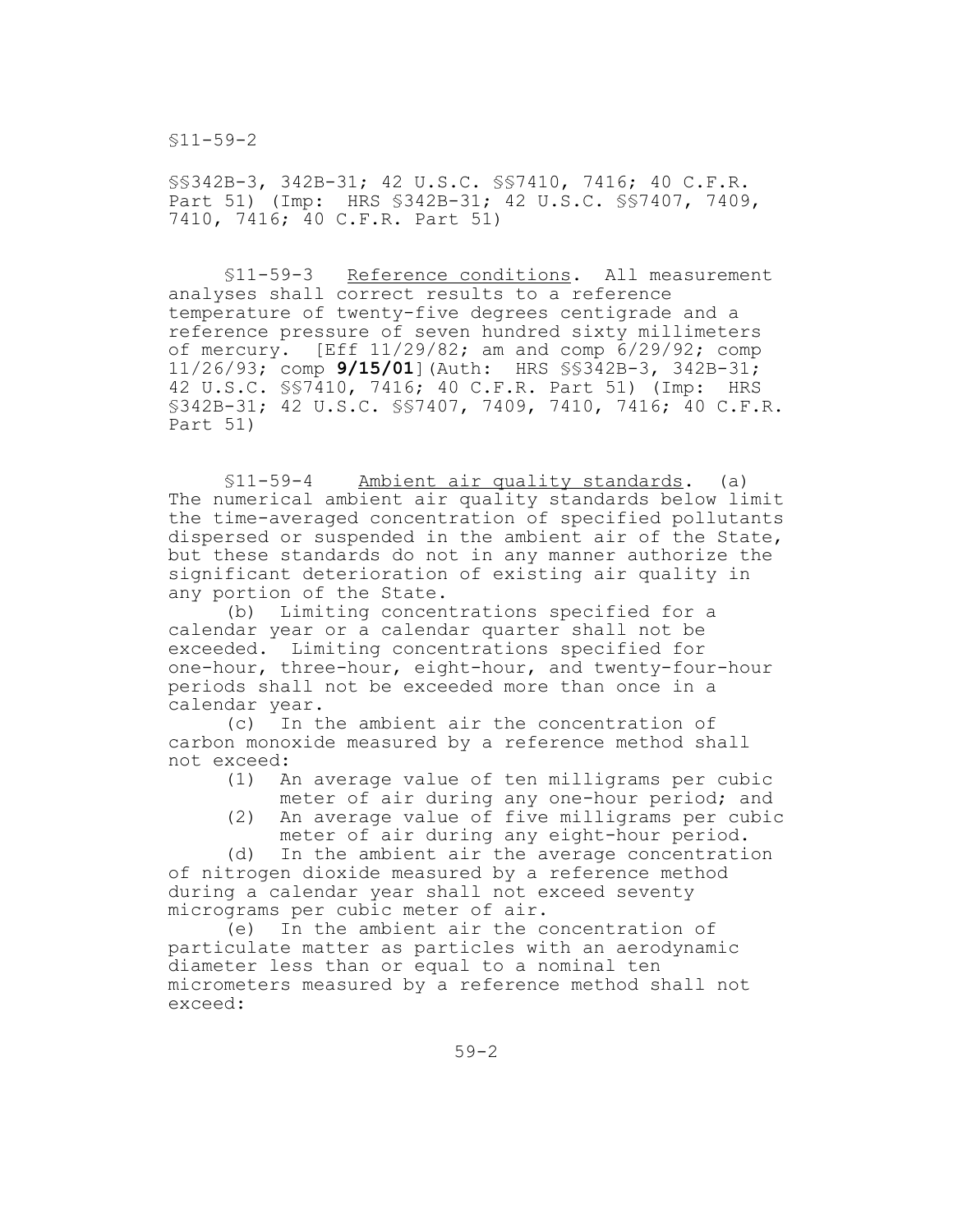§11-59-2

§§342B-3, 342B-31; 42 U.S.C. §§7410, 7416; 40 C.F.R. Part 51) (Imp: HRS §342B-31; 42 U.S.C. §§7407, 7409, 7410, 7416; 40 C.F.R. Part 51)

§11-59-3 Reference conditions. All measurement analyses shall correct results to a reference temperature of twenty-five degrees centigrade and a reference pressure of seven hundred sixty millimeters of mercury. [Eff 11/29/82; am and comp 6/29/92; comp 11/26/93; comp **9/15/01**](Auth: HRS §§342B-3, 342B-31; 42 U.S.C. §§7410, 7416; 40 C.F.R. Part 51) (Imp: HRS §342B-31; 42 U.S.C. §§7407, 7409, 7410, 7416; 40 C.F.R. Part 51)

§11-59-4 Ambient air quality standards. (a) The numerical ambient air quality standards below limit the time-averaged concentration of specified pollutants dispersed or suspended in the ambient air of the State, but these standards do not in any manner authorize the significant deterioration of existing air quality in any portion of the State.

(b) Limiting concentrations specified for a calendar year or a calendar quarter shall not be exceeded. Limiting concentrations specified for one-hour, three-hour, eight-hour, and twenty-four-hour periods shall not be exceeded more than once in a calendar year.

(c) In the ambient air the concentration of carbon monoxide measured by a reference method shall not exceed:

- (1) An average value of ten milligrams per cubic meter of air during any one-hour period; and
- (2) An average value of five milligrams per cubic meter of air during any eight-hour period.

(d) In the ambient air the average concentration of nitrogen dioxide measured by a reference method during a calendar year shall not exceed seventy micrograms per cubic meter of air.

(e) In the ambient air the concentration of particulate matter as particles with an aerodynamic diameter less than or equal to a nominal ten micrometers measured by a reference method shall not exceed: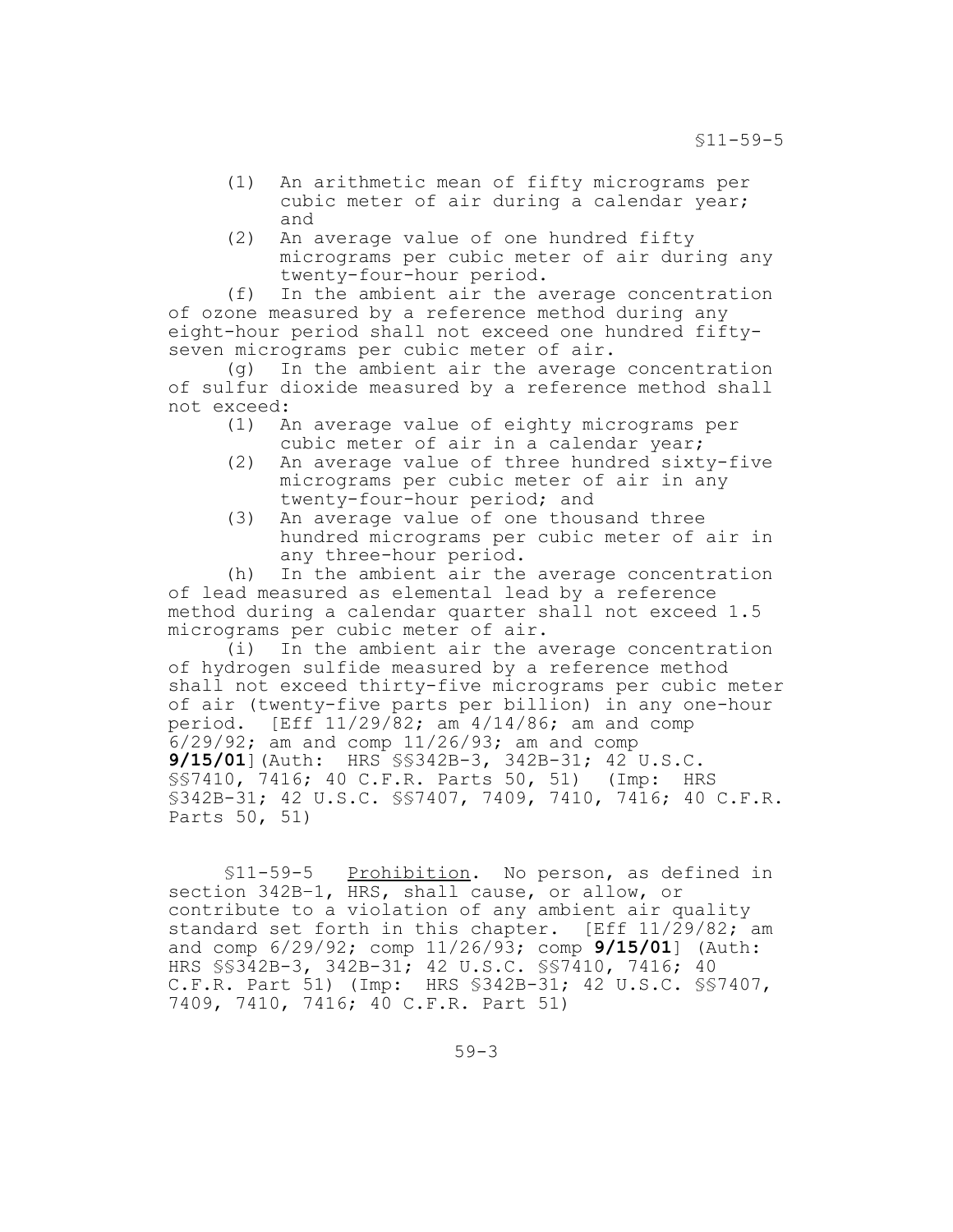- (1) An arithmetic mean of fifty micrograms per cubic meter of air during a calendar year; and
- (2) An average value of one hundred fifty micrograms per cubic meter of air during any twenty-four-hour period.

(f) In the ambient air the average concentration of ozone measured by a reference method during any eight-hour period shall not exceed one hundred fiftyseven micrograms per cubic meter of air.

(g) In the ambient air the average concentration of sulfur dioxide measured by a reference method shall not exceed:

- (1) An average value of eighty micrograms per cubic meter of air in a calendar year;
- (2) An average value of three hundred sixty-five micrograms per cubic meter of air in any twenty-four-hour period; and
- (3) An average value of one thousand three hundred micrograms per cubic meter of air in any three-hour period.

(h) In the ambient air the average concentration of lead measured as elemental lead by a reference method during a calendar quarter shall not exceed 1.5 micrograms per cubic meter of air.

(i) In the ambient air the average concentration of hydrogen sulfide measured by a reference method shall not exceed thirty-five micrograms per cubic meter of air (twenty-five parts per billion) in any one-hour period. [Eff 11/29/82; am 4/14/86; am and comp 6/29/92; am and comp 11/26/93; am and comp **9/15/01**](Auth: HRS §§342B-3, 342B-31; 42 U.S.C. §§7410, 7416; 40 C.F.R. Parts 50, 51) (Imp: HRS §342B-31; 42 U.S.C. §§7407, 7409, 7410, 7416; 40 C.F.R. Parts 50, 51)

§11-59-5 Prohibition. No person, as defined in section 342B–1, HRS, shall cause, or allow, or contribute to a violation of any ambient air quality standard set forth in this chapter. [Eff 11/29/82; am and comp 6/29/92; comp 11/26/93; comp **9/15/01**] (Auth: HRS §§342B-3, 342B-31; 42 U.S.C. §§7410, 7416; 40 C.F.R. Part 51) (Imp: HRS §342B-31; 42 U.S.C. §§7407, 7409, 7410, 7416; 40 C.F.R. Part 51)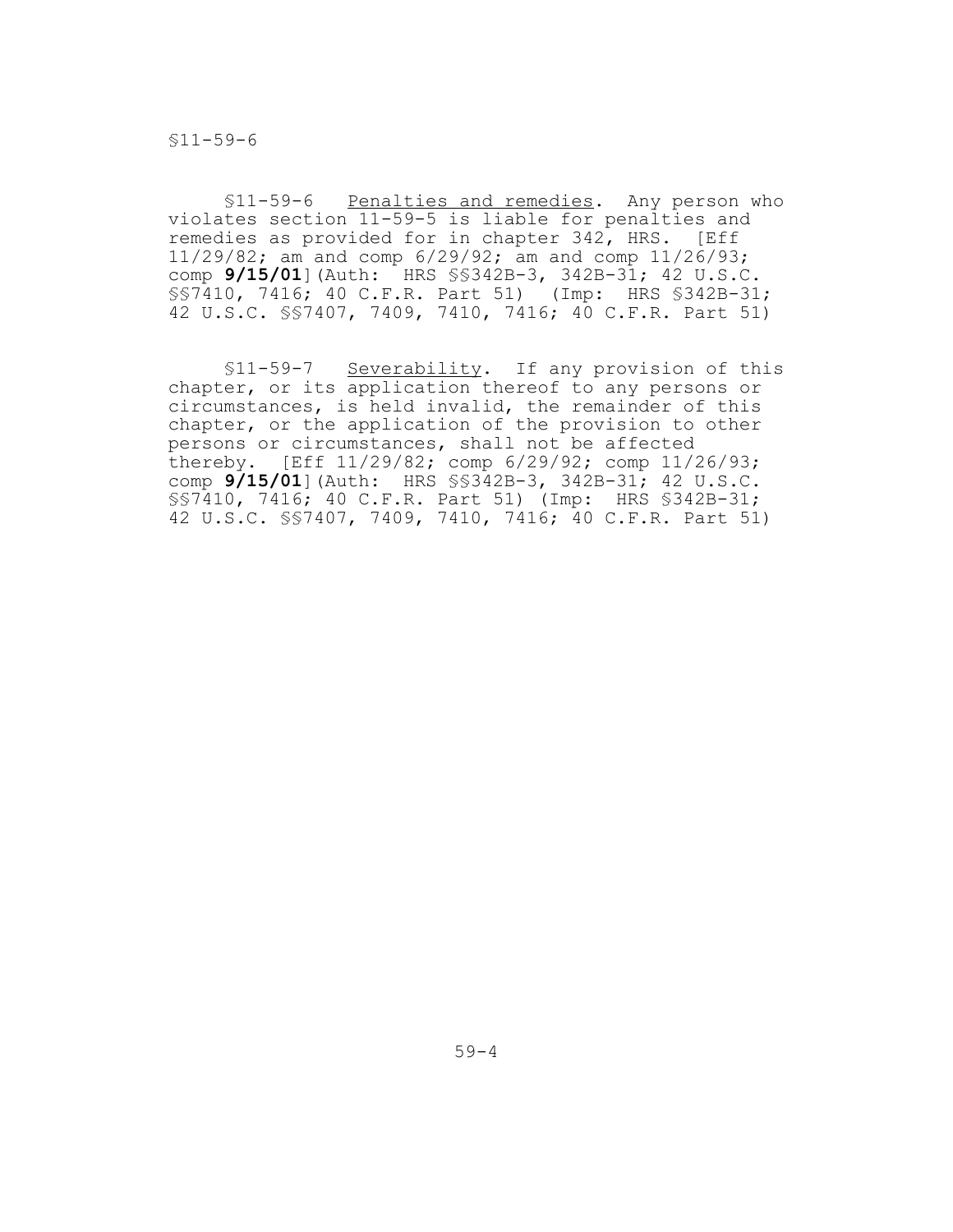§11-59-6

§11-59-6 Penalties and remedies. Any person who violates section 11-59-5 is liable for penalties and remedies as provided for in chapter 342, HRS. [Eff 11/29/82; am and comp 6/29/92; am and comp 11/26/93; comp **9/15/01**](Auth: HRS §§342B-3, 342B-31; 42 U.S.C. §§7410, 7416; 40 C.F.R. Part 51) (Imp: HRS §342B-31; 42 U.S.C. §§7407, 7409, 7410, 7416; 40 C.F.R. Part 51)

§11-59-7 Severability. If any provision of this chapter, or its application thereof to any persons or circumstances, is held invalid, the remainder of this chapter, or the application of the provision to other persons or circumstances, shall not be affected thereby. [Eff 11/29/82; comp 6/29/92; comp 11/26/93; comp **9/15/01**](Auth: HRS §§342B-3, 342B-31; 42 U.S.C. §§7410, 7416; 40 C.F.R. Part 51) (Imp: HRS §342B-31; 42 U.S.C. §§7407, 7409, 7410, 7416; 40 C.F.R. Part 51)